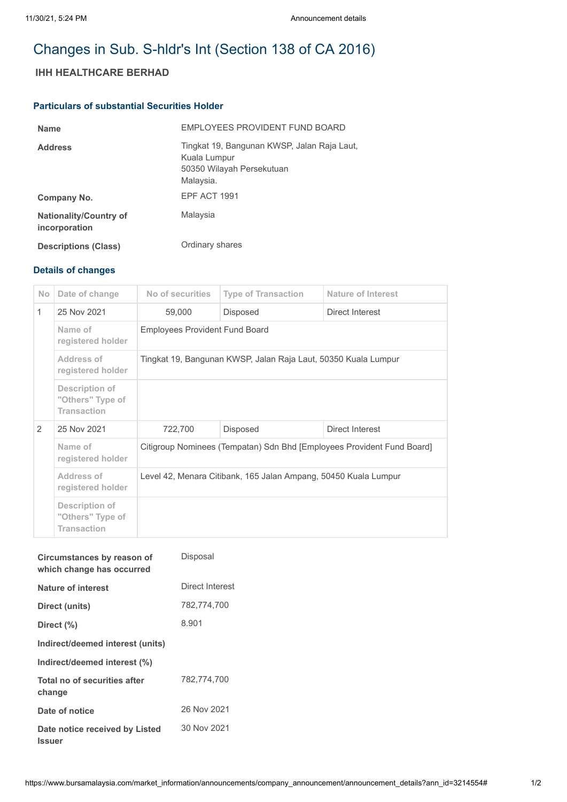# Changes in Sub. S-hldr's Int (Section 138 of CA 2016)

# **IHH HEALTHCARE BERHAD**

## **Particulars of substantial Securities Holder**

| <b>Name</b>                                    | EMPLOYEES PROVIDENT FUND BOARD                                                                        |
|------------------------------------------------|-------------------------------------------------------------------------------------------------------|
| <b>Address</b>                                 | Tingkat 19, Bangunan KWSP, Jalan Raja Laut,<br>Kuala Lumpur<br>50350 Wilayah Persekutuan<br>Malaysia. |
| Company No.                                    | <b>EPF ACT 1991</b>                                                                                   |
| <b>Nationality/Country of</b><br>incorporation | Malaysia                                                                                              |
| <b>Descriptions (Class)</b>                    | Ordinary shares                                                                                       |

## **Details of changes**

| <b>No</b>     | Date of change                                           | No of securities                                                       | <b>Type of Transaction</b>  | Nature of Interest |  |
|---------------|----------------------------------------------------------|------------------------------------------------------------------------|-----------------------------|--------------------|--|
| 1             | 25 Nov 2021                                              | 59,000                                                                 | Disposed                    | Direct Interest    |  |
|               | Name of<br>registered holder                             | <b>Employees Provident Fund Board</b>                                  |                             |                    |  |
|               | Address of<br>registered holder                          | Tingkat 19, Bangunan KWSP, Jalan Raja Laut, 50350 Kuala Lumpur         |                             |                    |  |
|               | Description of<br>"Others" Type of<br><b>Transaction</b> |                                                                        |                             |                    |  |
| $\mathcal{P}$ | 25 Nov 2021                                              | 722,700                                                                | Direct Interest<br>Disposed |                    |  |
|               | Name of<br>registered holder                             | Citigroup Nominees (Tempatan) Sdn Bhd [Employees Provident Fund Board] |                             |                    |  |
|               | Address of<br>registered holder                          | Level 42, Menara Citibank, 165 Jalan Ampang, 50450 Kuala Lumpur        |                             |                    |  |
|               | Description of<br>"Others" Type of<br><b>Transaction</b> |                                                                        |                             |                    |  |

| Circumstances by reason of<br>which change has occurred | Disposal        |
|---------------------------------------------------------|-----------------|
| <b>Nature of interest</b>                               | Direct Interest |
| Direct (units)                                          | 782,774,700     |
| Direct (%)                                              | 8.901           |
| Indirect/deemed interest (units)                        |                 |
| Indirect/deemed interest (%)                            |                 |
| Total no of securities after<br>change                  | 782,774,700     |
| Date of notice                                          | 26 Nov 2021     |
| Date notice received by Listed<br>Issuer                | 30 Nov 2021     |